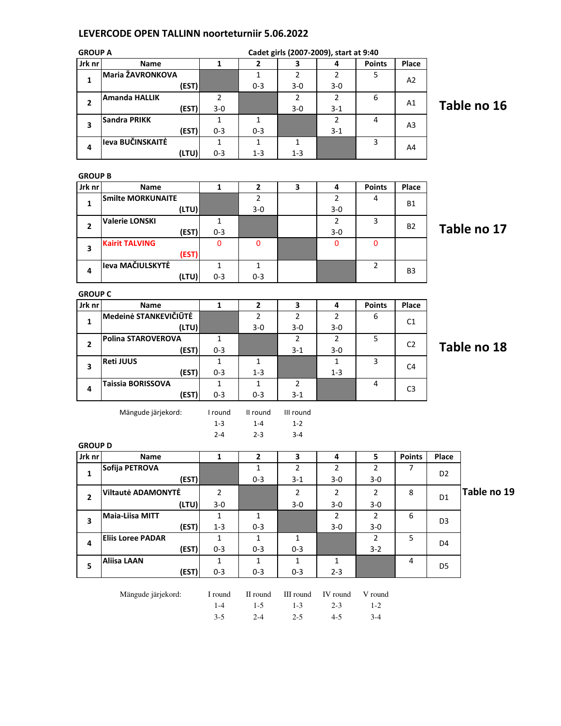## LEVERCODE OPEN TALLINN noorteturniir 5.06.2022

| <b>GROUP A</b> |                          |       |              |                | Cadet girls (2007-2009), start at 9:40 |                |                |                |                |             |
|----------------|--------------------------|-------|--------------|----------------|----------------------------------------|----------------|----------------|----------------|----------------|-------------|
| Jrk nr         | <b>Name</b>              |       | 1            | $\mathbf{2}$   | 3                                      | 4              | <b>Points</b>  | Place          |                |             |
| 1              | Maria ŽAVRONKOVA         |       |              | $\mathbf{1}$   | $\overline{2}$                         | $\overline{2}$ | 5              | A2             |                |             |
|                |                          | (EST) |              | 0-3            | $3 - 0$                                | $3-0$          |                |                |                |             |
| 2              | <b>Amanda HALLIK</b>     |       | 2            |                | $\overline{2}$                         | $\overline{2}$ | 6              | Α1             |                |             |
|                |                          | (EST) | $3 - 0$      |                | 3-0                                    | $3 - 1$        |                |                |                | Table no 16 |
| 3              | <b>Sandra PRIKK</b>      |       | $\mathbf{1}$ | 1              |                                        | $\overline{2}$ | 4              | A <sub>3</sub> |                |             |
|                |                          | (EST) | $0 - 3$      | 0-3            |                                        | $3 - 1$        |                |                |                |             |
| 4              | leva BUČINSKAITĖ         |       | $\mathbf{1}$ | $\mathbf{1}$   | $\mathbf{1}$                           |                | 3              |                |                |             |
|                |                          | (LTU) | $0 - 3$      | $1 - 3$        | $1 - 3$                                |                |                | A4             |                |             |
|                |                          |       |              |                |                                        |                |                |                |                |             |
| <b>GROUP B</b> |                          |       |              |                |                                        |                |                |                |                |             |
| Jrk nr         | <b>Name</b>              |       | $\mathbf{1}$ | $\mathbf{2}$   | 3                                      | 4              | <b>Points</b>  | Place          |                |             |
|                | <b>Smilte MORKUNAITE</b> |       |              | $\overline{2}$ |                                        | $\overline{2}$ | 4              |                |                |             |
| 1              |                          | (LTU) |              | $3 - 0$        |                                        | $3-0$          |                | Β1             |                |             |
|                | <b>Valerie LONSKI</b>    |       | $\mathbf{1}$ |                |                                        | $\overline{2}$ | 3              |                |                |             |
| $\mathbf{2}$   |                          | (EST) | $0 - 3$      |                |                                        | $3-0$          |                | B2             |                | Table no 17 |
|                | <b>Kairit TALVING</b>    |       | $\mathbf 0$  | 0              |                                        | $\mathbf 0$    | 0              |                |                |             |
| 3              |                          | (EST) |              |                |                                        |                |                |                |                |             |
|                | Ieva MAČIULSKYTĖ         |       | $\mathbf 1$  | $\mathbf{1}$   |                                        |                | $\overline{2}$ |                |                |             |
| 4              |                          | (LTU) | $0 - 3$      | $0 - 3$        |                                        |                |                | B3             |                |             |
|                |                          |       |              |                |                                        |                |                |                |                |             |
| <b>GROUP C</b> |                          |       |              |                |                                        |                |                |                |                |             |
| Jrk nr         | <b>Name</b>              |       | $\mathbf{1}$ | $\mathbf{2}$   | 3                                      | 4              | <b>Points</b>  | Place          |                |             |
| 1              | Medeinė STANKEVIČIŪTĖ    |       |              | $\overline{2}$ | 2                                      | 2              | 6              | C1             |                |             |
|                |                          | (LTU) |              | 3-0            | $3 - 0$                                | $3-0$          |                |                |                |             |
| $\mathbf{2}$   | Polina STAROVEROVA       |       |              |                | 2                                      | $\overline{2}$ | 5              | C <sub>2</sub> |                |             |
|                |                          | (EST) | $0 - 3$      |                | $3 - 1$                                | $3-0$          |                |                |                | Table no 18 |
| 3              | <b>Reti JUUS</b>         |       | $\mathbf{1}$ | 1              |                                        | $\mathbf{1}$   | 3              | C <sub>4</sub> |                |             |
|                |                          | (EST) | $0 - 3$      | $1 - 3$        |                                        | $1 - 3$        |                |                |                |             |
| 4              | Taissia BORISSOVA        |       | $\mathbf{1}$ | $\mathbf{1}$   | $\overline{2}$                         |                | 4              |                |                |             |
|                |                          | (EST) | 0-3          | $0 - 3$        | $3-1$                                  |                |                | C <sub>3</sub> |                |             |
|                |                          |       |              |                |                                        |                |                |                |                |             |
|                | Mängude järjekord:       |       | I round      | II round       | III round                              |                |                |                |                |             |
|                |                          |       | $1 - 3$      | $1 - 4$        | $1 - 2$                                |                |                |                |                |             |
|                |                          |       | $2 - 4$      | $2 - 3$        | $3 - 4$                                |                |                |                |                |             |
| <b>GROUP D</b> |                          |       |              |                |                                        |                |                |                |                |             |
| Jrk nr         | Name                     |       | ${\bf 1}$    | $\mathbf{2}$   | 3                                      | 4              | 5              |                | Points Place   |             |
| $\mathbf{1}$   | Sofija PETROVA           |       |              | $\mathbf{1}$   | $\overline{2}$                         | $\overline{2}$ | $\overline{2}$ | 7              | D <sub>2</sub> |             |
|                |                          | (EST) |              | $0 - 3$        | $3-1$                                  | $3-0$          | $3-0$          |                |                |             |
| $\overline{2}$ | Viltautė ADAMONYTĖ       |       | $\mathbf{2}$ |                | $\overline{2}$                         | $\overline{2}$ | $\overline{2}$ | 8              | D <sub>1</sub> | Table no 19 |
|                |                          | (LTU) | $3-0$        |                | $3 - 0$                                | $3-0$          | $3-0$          |                |                |             |
| 3              | Maia-Liisa MITT          |       | $\mathbf{1}$ | $\mathbf{1}$   |                                        | $\overline{2}$ | $\overline{2}$ | 6              | D <sub>3</sub> |             |
|                |                          | (EST) | $1 - 3$      | $0 - 3$        |                                        | $3-0$          | $3-0$          |                |                |             |
| 4              | <b>Eliis Loree PADAR</b> |       | $\mathbf{1}$ | $\mathbf{1}$   | $\mathbf{1}$                           |                | $2^{\circ}$    | 5              | D4             |             |
|                |                          | (EST) | $0 - 3$      | $0 - 3$        | $0 - 3$                                |                | $3-2$          |                |                |             |
|                | <b>Aliisa LAAN</b>       |       | $\mathbf{1}$ | $\mathbf{1}$   | $\mathbf{1}$                           | $\mathbf{1}$   |                | 4              |                |             |
| 5              |                          | (EST) | $0 - 3$      | $0 - 3$        | $0 - 3$                                | $2 - 3$        |                |                | D <sub>5</sub> |             |
|                |                          |       |              |                |                                        |                |                |                |                |             |
|                | Mängude järjekord:       |       | I round      | II round       | III round                              | IV round       | V round        |                |                |             |
|                |                          |       |              | 1 <sup>5</sup> |                                        | 2 <sub>2</sub> | 1 <sub>2</sub> |                |                |             |

1-4 1-5 1-3 2-3 1-2 3-5 2-4 2-5 4-5 3-4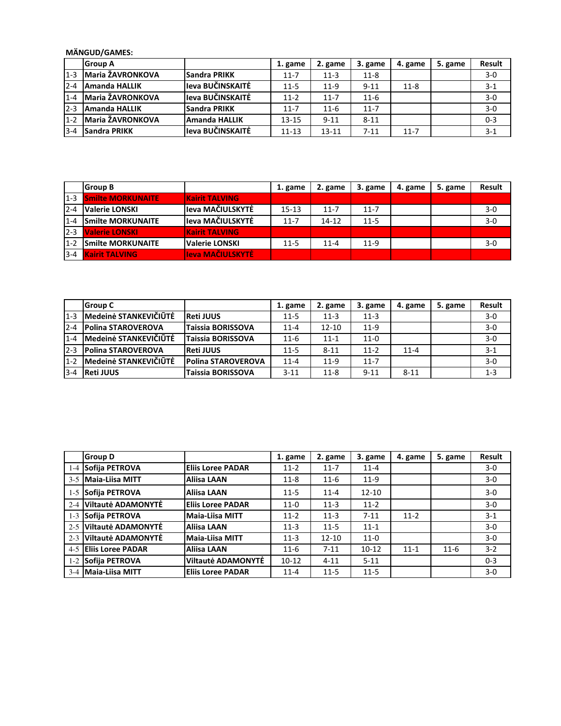MÄNGUD/GAMES:

|         | <b>IGroup A</b>         |                  | 1. game   | 2. game   | 3. game  | 4. game  | 5. game | <b>Result</b> |
|---------|-------------------------|------------------|-----------|-----------|----------|----------|---------|---------------|
| $1 - 3$ | <b>Maria ŽAVRONKOVA</b> | Sandra PRIKK     | $11 - 7$  | $11-3$    | $11 - 8$ |          |         | $3-0$         |
| $2 - 4$ | <b>Amanda HALLIK</b>    | leva BUČINSKAITĖ | $11 - 5$  | $11-9$    | $9 - 11$ | $11 - 8$ |         | $3 - 1$       |
| $1 - 4$ | Maria ŽAVRONKOVA        | leva BUČINSKAITĖ | $11-2$    | $11 - 7$  | $11-6$   |          |         | $3 - 0$       |
| $2 - 3$ | <b>JAmanda HALLIK</b>   | Sandra PRIKK     | $11 - 7$  | $11 - 6$  | $11 - 7$ |          |         | $3-0$         |
| $1 - 2$ | <b>Maria ŽAVRONKOVA</b> | Amanda HALLIK    | 13-15     | $9 - 11$  | $8 - 11$ |          |         | $0 - 3$       |
| $3 - 4$ | Sandra PRIKK            | leva BUČINSKAITĖ | $11 - 13$ | $13 - 11$ | $7 - 11$ | $11 - 7$ |         | $3 - 1$       |

|         | <b>Group B</b>            |                       | 1. game   | 2. game   | 3. game  | 4. game | 5. game | <b>Result</b> |
|---------|---------------------------|-----------------------|-----------|-----------|----------|---------|---------|---------------|
| $1 - 3$ | <b>Smilte MORKUNAITE</b>  | <b>Kairit TALVING</b> |           |           |          |         |         |               |
| $2 - 4$ | <b>Valerie LONSKI</b>     | Jeva MAČIULSKYTĖ      | $15 - 13$ | $11 - 7$  | $11 - 7$ |         |         | $3-0$         |
| $1 - 4$ | <b>Smilte MORKUNAITE</b>  | leva MAČIULSKYTĖ      | $11 - 7$  | $14 - 12$ | $11 - 5$ |         |         | $3 - 0$       |
| $12-3$  | <b>Valerie LONSKI</b>     | <b>Kairit TALVING</b> |           |           |          |         |         |               |
| $1 - 2$ | <b>ISmilte MORKUNAITE</b> | Valerie LONSKI        | $11 - 5$  | $11 - 4$  | $11-9$   |         |         | $3-0$         |
| $3 - 4$ | <b>Kairit TALVING</b>     | leva MAČIULSKYTĖ      |           |           |          |         |         |               |

|         | <b>Group C</b>            |                          | 1. game  | 2. game   | 3. game  | 4. game  | 5. game | <b>Result</b> |
|---------|---------------------------|--------------------------|----------|-----------|----------|----------|---------|---------------|
| $1 - 3$ | Medeinė STANKEVIČIŪTĖ     | <b>Reti JUUS</b>         | $11 - 5$ | $11-3$    | $11-3$   |          |         | $3-0$         |
| $2 - 4$ | <b>Polina STAROVEROVA</b> | Taissia BORISSOVA        | $11 - 4$ | $12 - 10$ | $11-9$   |          |         | $3 - 0$       |
| $1 - 4$ | Medeinė STANKEVIČIŪTĖ     | <b>Taissia BORISSOVA</b> | $11-6$   | $11 - 1$  | $11-0$   |          |         | $3-0$         |
| $2-3$   | <b>Polina STAROVEROVA</b> | <b>Reti JUUS</b>         | $11 - 5$ | $8 - 11$  | $11-2$   | $11 - 4$ |         | $3 - 1$       |
| $1 - 2$ | Medeinė STANKEVIČIŪTĖ     | Polina STAROVEROVA       | $11 - 4$ | $11-9$    | $11 - 7$ |          |         | $3-0$         |
| $3 - 4$ | <b>Reti JUUS</b>          | Taissia BORISSOVA        | $3 - 11$ | $11 - 8$  | $9 - 11$ | $8 - 11$ |         | $1 - 3$       |

|         | <b>Group D</b>         |                          | 1. game  | 2. game   | 3. game   | 4. game  | 5. game | <b>Result</b> |
|---------|------------------------|--------------------------|----------|-----------|-----------|----------|---------|---------------|
|         | 1-4 Sofija PETROVA     | <b>Eliis Loree PADAR</b> | $11-2$   | $11 - 7$  | $11 - 4$  |          |         | $3-0$         |
| $3 - 5$ | Maia-Liisa MITT        | <b>Aliisa LAAN</b>       | $11 - 8$ | $11 - 6$  | $11-9$    |          |         | $3-0$         |
| $1-5$   | Sofija PETROVA         | Aliisa LAAN              | $11 - 5$ | $11 - 4$  | $12 - 10$ |          |         | $3-0$         |
| $2 - 4$ | Viltautė ADAMONYTĖ     | <b>Eliis Loree PADAR</b> | $11-0$   | $11-3$    | $11-2$    |          |         | $3-0$         |
|         | 1-3 Sofija PETROVA     | Maia-Liisa MITT          | $11-2$   | $11-3$    | $7 - 11$  | $11-2$   |         | $3-1$         |
|         | 2-5 Viltautė ADAMONYTĖ | <b>Aliisa LAAN</b>       | $11-3$   | $11 - 5$  | $11 - 1$  |          |         | $3-0$         |
|         | 2-3 Viltautė ADAMONYTĖ | Maia-Liisa MITT          | $11-3$   | $12 - 10$ | $11-0$    |          |         | $3-0$         |
|         | 4-5 Eliis Loree PADAR  | Aliisa LAAN              | $11-6$   | $7 - 11$  | $10 - 12$ | $11 - 1$ | $11-6$  | $3 - 2$       |
|         | 1-2 Sofija PETROVA     | Viltautė ADAMONYTĖ       | $10-12$  | $4 - 11$  | $5 - 11$  |          |         | $0 - 3$       |
|         | 3-4 Maia-Liisa MITT    | <b>Eliis Loree PADAR</b> | $11 - 4$ | $11 - 5$  | $11 - 5$  |          |         | $3-0$         |